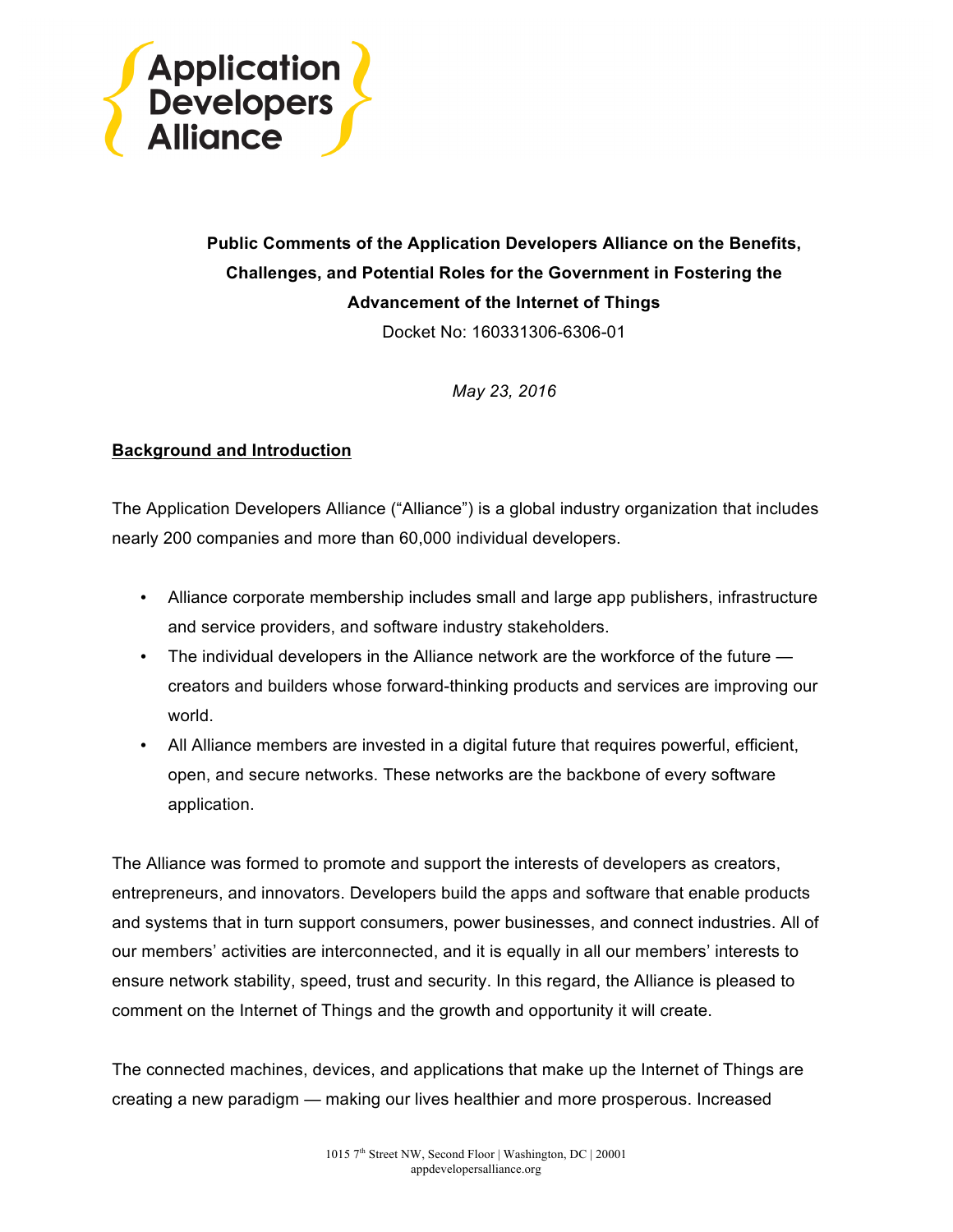

# **Public Comments of the Application Developers Alliance on the Benefits, Challenges, and Potential Roles for the Government in Fostering the Advancement of the Internet of Things**

Docket No: 160331306-6306-01

*May 23, 2016*

## **Background and Introduction**

The Application Developers Alliance ("Alliance") is a global industry organization that includes nearly 200 companies and more than 60,000 individual developers.

- Alliance corporate membership includes small and large app publishers, infrastructure and service providers, and software industry stakeholders.
- The individual developers in the Alliance network are the workforce of the future creators and builders whose forward-thinking products and services are improving our world.
- All Alliance members are invested in a digital future that requires powerful, efficient, open, and secure networks. These networks are the backbone of every software application.

The Alliance was formed to promote and support the interests of developers as creators, entrepreneurs, and innovators. Developers build the apps and software that enable products and systems that in turn support consumers, power businesses, and connect industries. All of our members' activities are interconnected, and it is equally in all our members' interests to ensure network stability, speed, trust and security. In this regard, the Alliance is pleased to comment on the Internet of Things and the growth and opportunity it will create.

The connected machines, devices, and applications that make up the Internet of Things are creating a new paradigm — making our lives healthier and more prosperous. Increased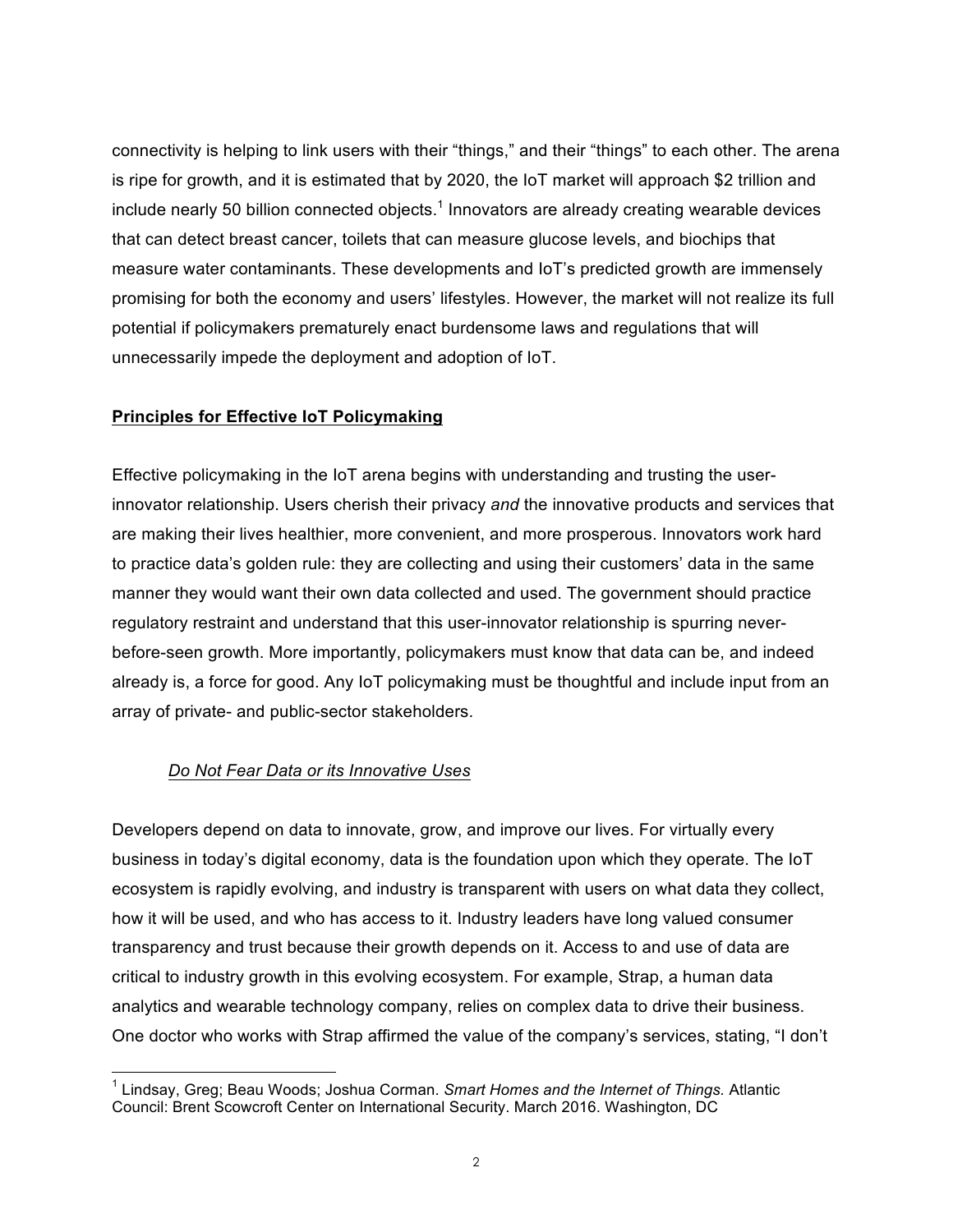connectivity is helping to link users with their "things," and their "things" to each other. The arena is ripe for growth, and it is estimated that by 2020, the IoT market will approach \$2 trillion and include nearly 50 billion connected objects.<sup>1</sup> Innovators are already creating wearable devices that can detect breast cancer, toilets that can measure glucose levels, and biochips that measure water contaminants. These developments and IoT's predicted growth are immensely promising for both the economy and users' lifestyles. However, the market will not realize its full potential if policymakers prematurely enact burdensome laws and regulations that will unnecessarily impede the deployment and adoption of IoT.

## **Principles for Effective IoT Policymaking**

Effective policymaking in the IoT arena begins with understanding and trusting the userinnovator relationship. Users cherish their privacy *and* the innovative products and services that are making their lives healthier, more convenient, and more prosperous. Innovators work hard to practice data's golden rule: they are collecting and using their customers' data in the same manner they would want their own data collected and used. The government should practice regulatory restraint and understand that this user-innovator relationship is spurring neverbefore-seen growth. More importantly, policymakers must know that data can be, and indeed already is, a force for good. Any IoT policymaking must be thoughtful and include input from an array of private- and public-sector stakeholders.

#### *Do Not Fear Data or its Innovative Uses*

Developers depend on data to innovate, grow, and improve our lives. For virtually every business in today's digital economy, data is the foundation upon which they operate. The IoT ecosystem is rapidly evolving, and industry is transparent with users on what data they collect, how it will be used, and who has access to it. Industry leaders have long valued consumer transparency and trust because their growth depends on it. Access to and use of data are critical to industry growth in this evolving ecosystem. For example, Strap, a human data analytics and wearable technology company, relies on complex data to drive their business. One doctor who works with Strap affirmed the value of the company's services, stating, "I don't

<sup>1</sup> Lindsay, Greg; Beau Woods; Joshua Corman. *Smart Homes and the Internet of Things.* Atlantic Council: Brent Scowcroft Center on International Security. March 2016. Washington, DC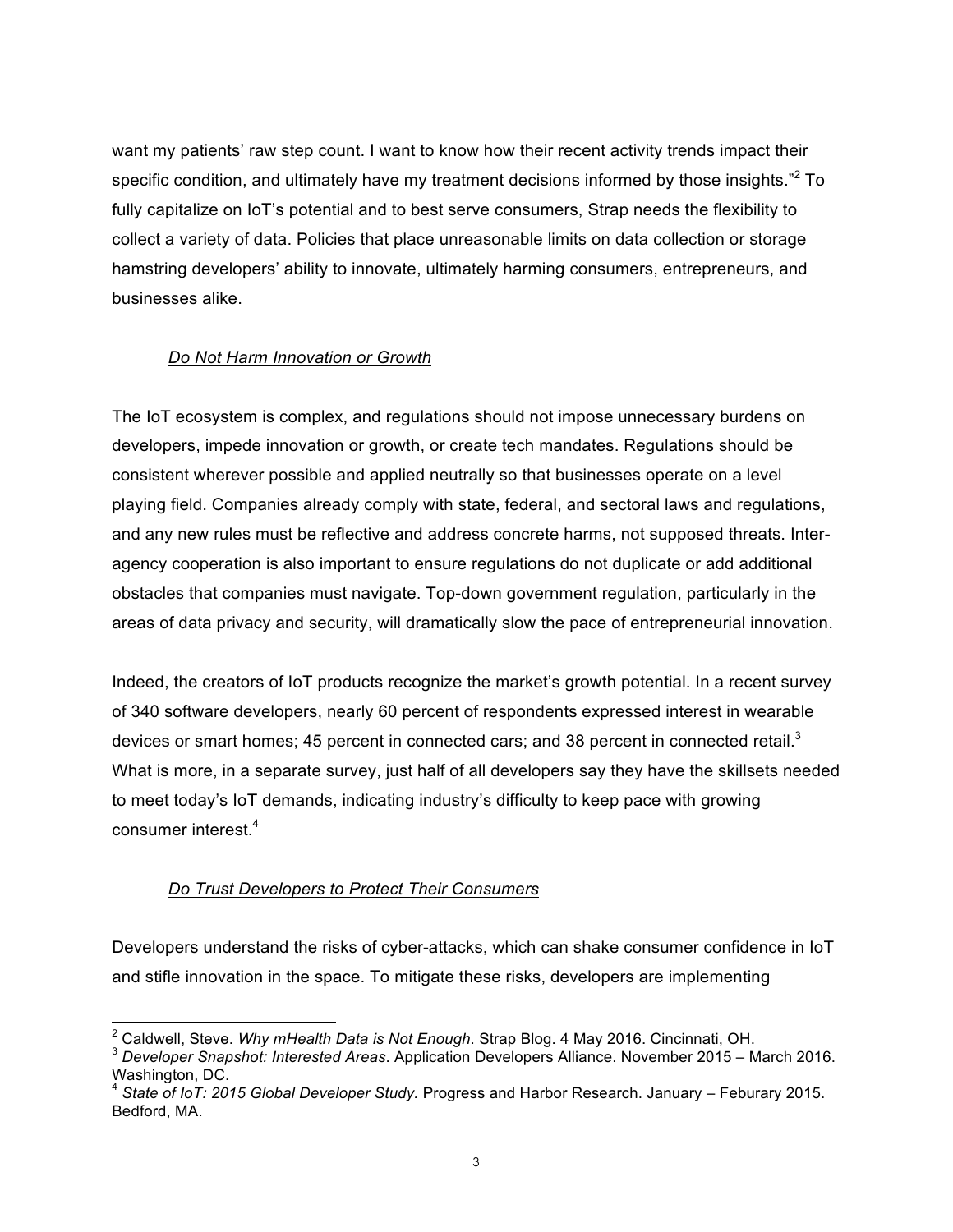want my patients' raw step count. I want to know how their recent activity trends impact their specific condition, and ultimately have my treatment decisions informed by those insights.<sup>"2</sup> To fully capitalize on IoT's potential and to best serve consumers, Strap needs the flexibility to collect a variety of data. Policies that place unreasonable limits on data collection or storage hamstring developers' ability to innovate, ultimately harming consumers, entrepreneurs, and businesses alike.

## *Do Not Harm Innovation or Growth*

The IoT ecosystem is complex, and regulations should not impose unnecessary burdens on developers, impede innovation or growth, or create tech mandates. Regulations should be consistent wherever possible and applied neutrally so that businesses operate on a level playing field. Companies already comply with state, federal, and sectoral laws and regulations, and any new rules must be reflective and address concrete harms, not supposed threats. Interagency cooperation is also important to ensure regulations do not duplicate or add additional obstacles that companies must navigate. Top-down government regulation, particularly in the areas of data privacy and security, will dramatically slow the pace of entrepreneurial innovation.

Indeed, the creators of IoT products recognize the market's growth potential. In a recent survey of 340 software developers, nearly 60 percent of respondents expressed interest in wearable devices or smart homes; 45 percent in connected cars; and 38 percent in connected retail.<sup>3</sup> What is more, in a separate survey, just half of all developers say they have the skillsets needed to meet today's IoT demands, indicating industry's difficulty to keep pace with growing consumer interest. 4

# *Do Trust Developers to Protect Their Consumers*

Developers understand the risks of cyber-attacks, which can shake consumer confidence in IoT and stifle innovation in the space. To mitigate these risks, developers are implementing

<sup>&</sup>lt;sup>2</sup> Caldwell, Steve. *Why mHealth Data is Not Enough*. Strap Blog. 4 May 2016. Cincinnati, OH.<br><sup>3</sup> Developer Snapshot: Interested Areas. Application Developers Alliance. November 2015 – March 2016. Washington, DC.

<sup>4</sup> *State of IoT: 2015 Global Developer Study.* Progress and Harbor Research. January – Feburary 2015. Bedford, MA.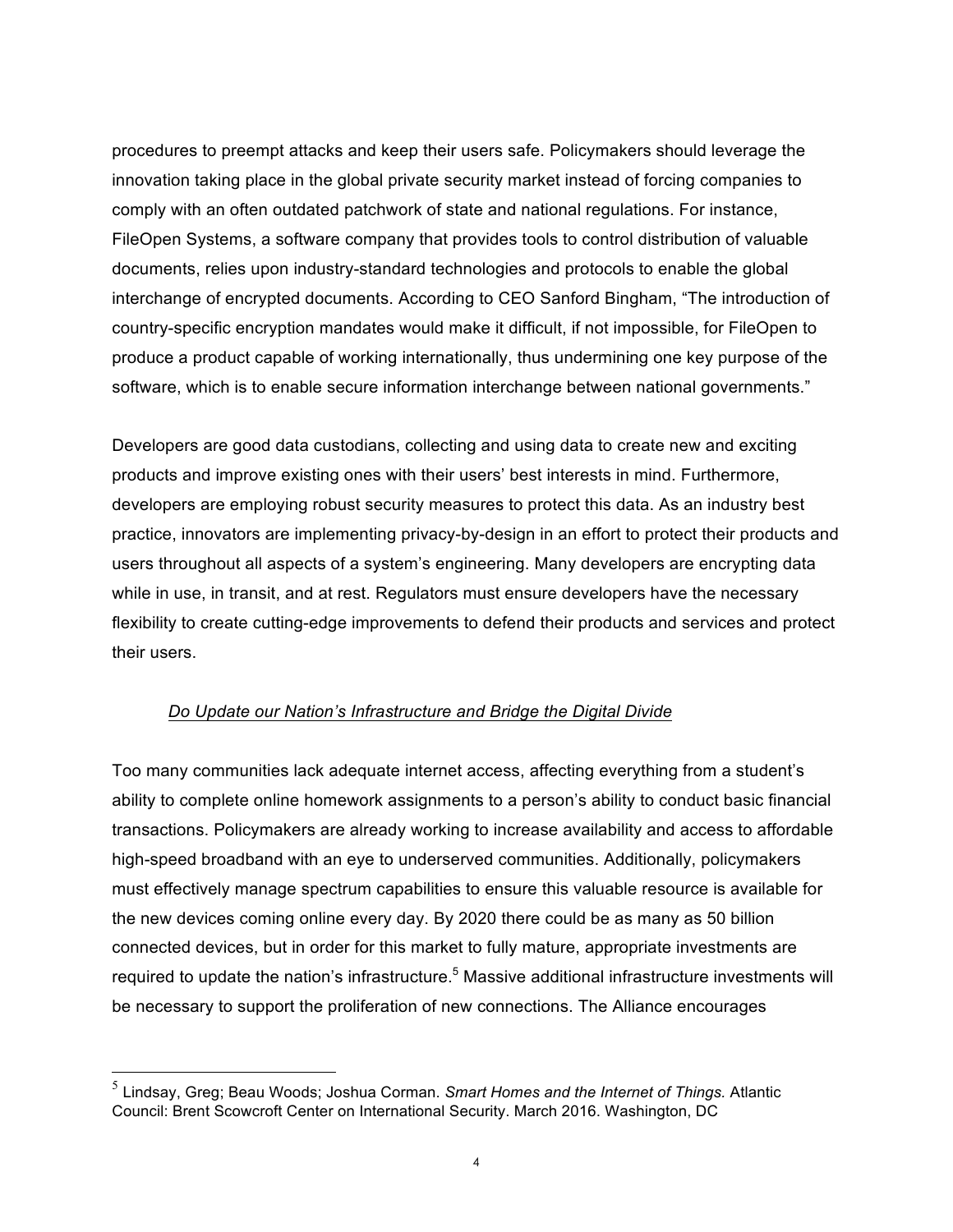procedures to preempt attacks and keep their users safe. Policymakers should leverage the innovation taking place in the global private security market instead of forcing companies to comply with an often outdated patchwork of state and national regulations. For instance, FileOpen Systems, a software company that provides tools to control distribution of valuable documents, relies upon industry-standard technologies and protocols to enable the global interchange of encrypted documents. According to CEO Sanford Bingham, "The introduction of country-specific encryption mandates would make it difficult, if not impossible, for FileOpen to produce a product capable of working internationally, thus undermining one key purpose of the software, which is to enable secure information interchange between national governments."

Developers are good data custodians, collecting and using data to create new and exciting products and improve existing ones with their users' best interests in mind. Furthermore, developers are employing robust security measures to protect this data. As an industry best practice, innovators are implementing privacy-by-design in an effort to protect their products and users throughout all aspects of a system's engineering. Many developers are encrypting data while in use, in transit, and at rest. Regulators must ensure developers have the necessary flexibility to create cutting-edge improvements to defend their products and services and protect their users.

#### *Do Update our Nation's Infrastructure and Bridge the Digital Divide*

Too many communities lack adequate internet access, affecting everything from a student's ability to complete online homework assignments to a person's ability to conduct basic financial transactions. Policymakers are already working to increase availability and access to affordable high-speed broadband with an eye to underserved communities. Additionally, policymakers must effectively manage spectrum capabilities to ensure this valuable resource is available for the new devices coming online every day. By 2020 there could be as many as 50 billion connected devices, but in order for this market to fully mature, appropriate investments are required to update the nation's infrastructure.<sup>5</sup> Massive additional infrastructure investments will be necessary to support the proliferation of new connections. The Alliance encourages

 <sup>5</sup> Lindsay, Greg; Beau Woods; Joshua Corman. *Smart Homes and the Internet of Things.* Atlantic Council: Brent Scowcroft Center on International Security. March 2016. Washington, DC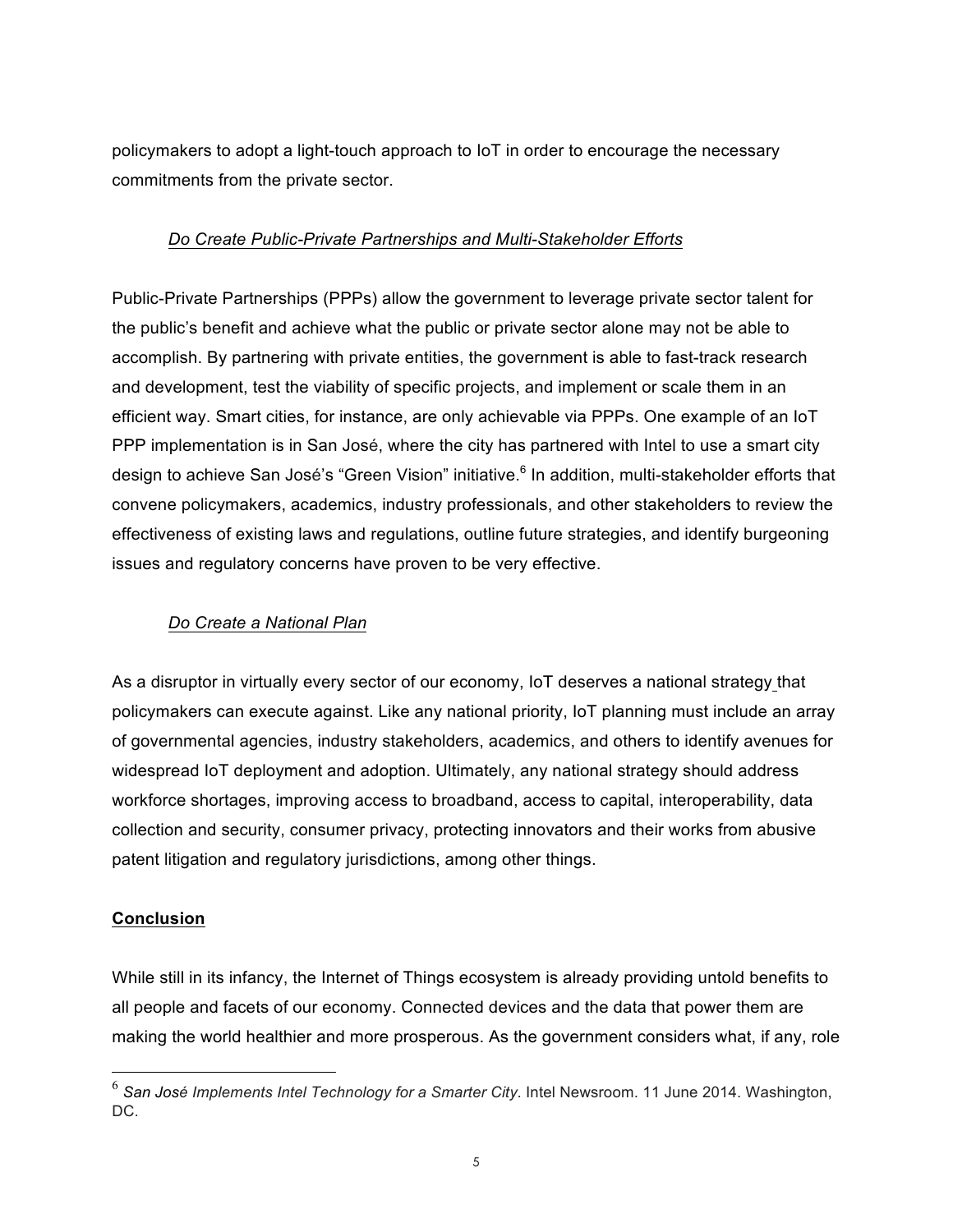policymakers to adopt a light-touch approach to IoT in order to encourage the necessary commitments from the private sector.

## *Do Create Public-Private Partnerships and Multi-Stakeholder Efforts*

Public-Private Partnerships (PPPs) allow the government to leverage private sector talent for the public's benefit and achieve what the public or private sector alone may not be able to accomplish. By partnering with private entities, the government is able to fast-track research and development, test the viability of specific projects, and implement or scale them in an efficient way. Smart cities, for instance, are only achievable via PPPs. One example of an IoT PPP implementation is in San José, where the city has partnered with Intel to use a smart city design to achieve San José's "Green Vision" initiative.<sup>6</sup> In addition, multi-stakeholder efforts that convene policymakers, academics, industry professionals, and other stakeholders to review the effectiveness of existing laws and regulations, outline future strategies, and identify burgeoning issues and regulatory concerns have proven to be very effective.

# *Do Create a National Plan*

As a disruptor in virtually every sector of our economy, IoT deserves a national strategy that policymakers can execute against. Like any national priority, IoT planning must include an array of governmental agencies, industry stakeholders, academics, and others to identify avenues for widespread IoT deployment and adoption. Ultimately, any national strategy should address workforce shortages, improving access to broadband, access to capital, interoperability, data collection and security, consumer privacy, protecting innovators and their works from abusive patent litigation and regulatory jurisdictions, among other things.

#### **Conclusion**

While still in its infancy, the Internet of Things ecosystem is already providing untold benefits to all people and facets of our economy. Connected devices and the data that power them are making the world healthier and more prosperous. As the government considers what, if any, role

 <sup>6</sup> *San José Implements Intel Technology for a Smarter City*. Intel Newsroom. 11 June 2014. Washington, DC.